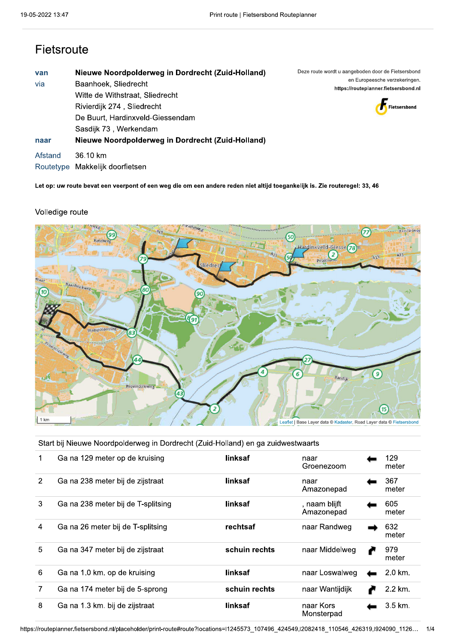### Fietsroute

| van       | Nieuwe Noordpolderweg in Dordrecht (Zuid-Holland) | Deze route wordt u aangeboden door de Fietsersbond |
|-----------|---------------------------------------------------|----------------------------------------------------|
| via       | Baanhoek, Sliedrecht                              | en Europeesche verzekeringen.                      |
|           | Witte de Withstraat, Sliedrecht                   | https://routeplanner.fietsersbond.nl               |
|           | Rivierdijk 274, Sliedrecht                        | Fietsersbond                                       |
|           | De Buurt, Hardinxveld-Giessendam                  |                                                    |
|           | Sasdijk 73, Werkendam                             |                                                    |
| naar      | Nieuwe Noordpolderweg in Dordrecht (Zuid-Holland) |                                                    |
| Afstand   | 36.10 km                                          |                                                    |
| Routetype | Makkelijk doorfietsen                             |                                                    |

Let op: uw route bevat een veerpont of een weg die om een andere reden niet altijd toegankelijk is. Zie routeregel: 33, 46

### Volledige route



Start bij Nieuwe Noordpolderweg in Dordrecht (Zuid-Holland) en ga zuidwestwaarts

|   | Ga na 129 meter op de kruising     | linksaf       | naar<br>Groenezoom          | 129<br>meter       |  |
|---|------------------------------------|---------------|-----------------------------|--------------------|--|
| 2 | Ga na 238 meter bij de zijstraat   | linksaf       | naar<br>Amazonepad          | 367<br>meter       |  |
| 3 | Ga na 238 meter bij de T-splitsing | linksaf       | , naam blijft<br>Amazonepad | 605<br>meter       |  |
| 4 | Ga na 26 meter bij de T-splitsing  | rechtsaf      | naar Randweg                | 632<br>meter       |  |
| 5 | Ga na 347 meter bij de zijstraat   | schuin rechts | naar Middelweg              | 979<br>meter       |  |
| 6 | Ga na 1.0 km. op de kruising       | linksaf       | naar Loswalweg              | 2.0 km.            |  |
| 7 | Ga na 174 meter bij de 5-sprong    | schuin rechts | naar Wantijdijk             | 2.2 km.            |  |
| 8 | Ga na 1.3 km. bij de zijstraat     | linksaf       | naar Kors<br>Monsterpad     | $3.5 \text{ km}$ . |  |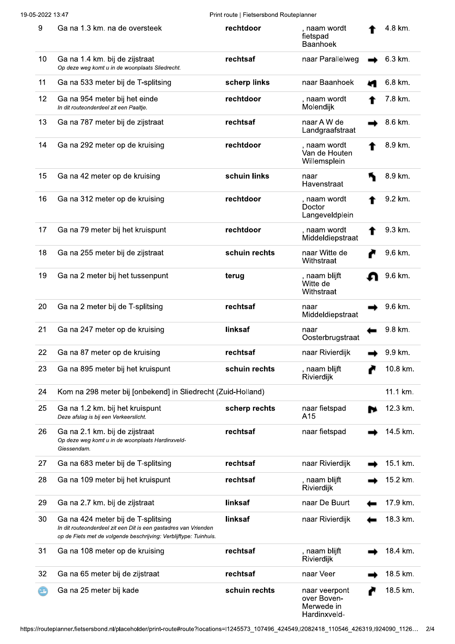| $\boldsymbol{9}$ | Ga na 1.3 km. na de oversteek                                                                                                                                              | rechtdoor     | naam wordt<br>fietspad<br><b>Baanhoek</b>                  | 4.8 km.  |
|------------------|----------------------------------------------------------------------------------------------------------------------------------------------------------------------------|---------------|------------------------------------------------------------|----------|
| 10               | Ga na 1.4 km. bij de zijstraat<br>Op deze weg komt u in de woonplaats Sliedrecht.                                                                                          | rechtsaf      | naar Parallelweg                                           | 6.3 km.  |
| 11               | Ga na 533 meter bij de T-splitsing                                                                                                                                         | scherp links  | naar Baanhoek                                              | 6.8 km.  |
| 12               | Ga na 954 meter bij het einde<br>In dit routeonderdeel zit een Paaltie.                                                                                                    | rechtdoor     | , naam wordt<br>Molendijk                                  | 7.8 km.  |
| 13               | Ga na 787 meter bij de zijstraat                                                                                                                                           | rechtsaf      | naar A W de<br>Landgraafstraat                             | 8.6 km.  |
| 14               | Ga na 292 meter op de kruising                                                                                                                                             | rechtdoor     | , naam wordt<br>Van de Houten<br>Willemsplein              | 8.9 km.  |
| 15               | Ga na 42 meter op de kruising                                                                                                                                              | schuin links  | naar<br>Havenstraat                                        | 8.9 km.  |
| 16               | Ga na 312 meter op de kruising                                                                                                                                             | rechtdoor     | , naam wordt<br>Doctor<br>Langeveldplein                   | 9.2 km.  |
| 17               | Ga na 79 meter bij het kruispunt                                                                                                                                           | rechtdoor     | , naam wordt<br>Middeldiepstraat                           | 9.3 km.  |
| 18               | Ga na 255 meter bij de zijstraat                                                                                                                                           | schuin rechts | naar Witte de<br>Withstraat                                | 9.6 km.  |
| 19               | Ga na 2 meter bij het tussenpunt                                                                                                                                           | terug         | , naam blijft<br>Witte de<br>Withstraat                    | 9.6 km.  |
| 20               | Ga na 2 meter bij de T-splitsing                                                                                                                                           | rechtsaf      | naar<br>Middeldiepstraat                                   | 9.6 km.  |
| 21               | Ga na 247 meter op de kruising                                                                                                                                             | linksaf       | naar<br>Oosterbrugstraat                                   | 9.8 km.  |
| 22               | Ga na 87 meter op de kruising                                                                                                                                              | rechtsaf      | naar Rivierdijk                                            | 9.9 km.  |
| 23               | Ga na 895 meter bij het kruispunt                                                                                                                                          | schuin rechts | , naam blijft<br>Rivierdijk                                | 10.8 km. |
| 24               | Kom na 298 meter bij [onbekend] in Sliedrecht (Zuid-Holland)                                                                                                               |               |                                                            | 11.1 km. |
| 25               | Ga na 1.2 km. bij het kruispunt<br>Deze afslag is bij een Verkeerslicht.                                                                                                   | scherp rechts | naar fietspad<br>A15                                       | 12.3 km. |
| 26               | Ga na 2.1 km. bij de zijstraat<br>Op deze weg komt u in de woonplaats Hardinxveld-<br>Giessendam.                                                                          | rechtsaf      | naar fietspad                                              | 14.5 km. |
| 27               | Ga na 683 meter bij de T-splitsing                                                                                                                                         | rechtsaf      | naar Rivierdijk                                            | 15.1 km. |
| 28               | Ga na 109 meter bij het kruispunt                                                                                                                                          | rechtsaf      | , naam blijft<br>Rivierdijk                                | 15.2 km. |
| 29               | Ga na 2.7 km. bij de zijstraat                                                                                                                                             | linksaf       | naar De Buurt                                              | 17.9 km. |
| 30               | Ga na 424 meter bij de T-splitsing<br>In dit routeonderdeel zit een Dit is een gastadres van Vrienden<br>op de Fiets met de volgende beschrijving: Verblijftype: Tuinhuis. | linksaf       | naar Rivierdijk                                            | 18.3 km. |
| 31               | Ga na 108 meter op de kruising                                                                                                                                             | rechtsaf      | , naam blijft<br>Rivierdijk                                | 18.4 km. |
| 32               | Ga na 65 meter bij de zijstraat                                                                                                                                            | rechtsaf      | naar Veer                                                  | 18.5 km. |
|                  | Ga na 25 meter bij kade                                                                                                                                                    | schuin rechts | naar veerpont<br>over Boven-<br>Merwede in<br>Hardinxveld- | 18.5 km. |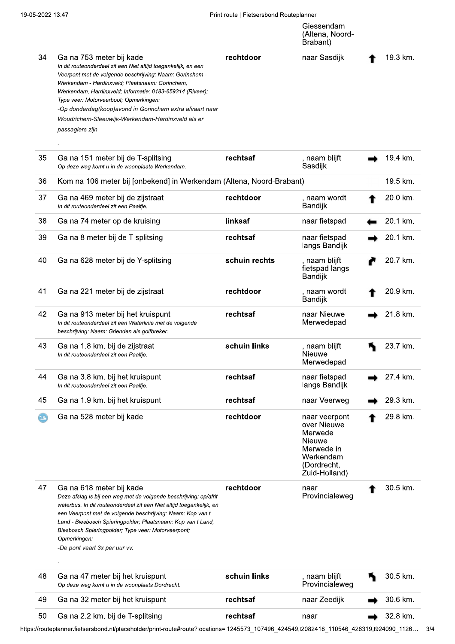|             |                                                                                                                                                                                                                                                                                                                                                                                                                                                       | THILTDUIL   FIGGGISDOITU TUGLOPIUITICI | Giessendam<br>(Altena, Noord-<br>Brabant)                                                                    |          |
|-------------|-------------------------------------------------------------------------------------------------------------------------------------------------------------------------------------------------------------------------------------------------------------------------------------------------------------------------------------------------------------------------------------------------------------------------------------------------------|----------------------------------------|--------------------------------------------------------------------------------------------------------------|----------|
| 34          | Ga na 753 meter bij kade<br>In dit routeonderdeel zit een Niet altijd toegankelijk, en een<br>Veerpont met de volgende beschrijving: Naam: Gorinchem -<br>Werkendam - Hardinxveld; Plaatsnaam: Gorinchem,<br>Werkendam, Hardinxveld; Informatie: 0183-659314 (Riveer);<br>Type veer: Motorveerboot; Opmerkingen:<br>-Op donderdag(koop) avond in Gorinchem extra afvaart naar<br>Woudrichem-Sleeuwijk-Werkendam-Hardinxveld als er<br>passagiers zijn | rechtdoor                              | naar Sasdijk                                                                                                 | 19.3 km. |
| 35          | Ga na 151 meter bij de T-splitsing<br>Op deze weg komt u in de woonplaats Werkendam.                                                                                                                                                                                                                                                                                                                                                                  | rechtsaf                               | , naam blijft<br>Sasdijk                                                                                     | 19.4 km. |
| 36          | Kom na 106 meter bij [onbekend] in Werkendam (Altena, Noord-Brabant)                                                                                                                                                                                                                                                                                                                                                                                  |                                        |                                                                                                              | 19.5 km. |
| 37          | Ga na 469 meter bij de zijstraat<br>In dit routeonderdeel zit een Paaltje.                                                                                                                                                                                                                                                                                                                                                                            | rechtdoor                              | , naam wordt<br>Bandijk                                                                                      | 20.0 km. |
| 38          | Ga na 74 meter op de kruising                                                                                                                                                                                                                                                                                                                                                                                                                         | linksaf                                | naar fietspad                                                                                                | 20.1 km. |
| 39          | Ga na 8 meter bij de T-splitsing                                                                                                                                                                                                                                                                                                                                                                                                                      | rechtsaf                               | naar fietspad<br>langs Bandijk                                                                               | 20.1 km. |
| 40          | Ga na 628 meter bij de Y-splitsing                                                                                                                                                                                                                                                                                                                                                                                                                    | schuin rechts                          | , naam blijft<br>fietspad langs<br>Bandijk                                                                   | 20.7 km. |
| 41          | Ga na 221 meter bij de zijstraat                                                                                                                                                                                                                                                                                                                                                                                                                      | rechtdoor                              | , naam wordt<br>Bandijk                                                                                      | 20.9 km. |
| 42          | Ga na 913 meter bij het kruispunt<br>In dit routeonderdeel zit een Waterlinie met de volgende<br>beschrijving: Naam: Grienden als golfbreker.                                                                                                                                                                                                                                                                                                         | rechtsaf                               | naar Nieuwe<br>Merwedepad                                                                                    | 21.8 km. |
| 43          | Ga na 1.8 km. bij de zijstraat<br>In dit routeonderdeel zit een Paaltie.                                                                                                                                                                                                                                                                                                                                                                              | schuin links                           | , naam blijft<br>Nieuwe<br>Merwedepad                                                                        | 23.7 km. |
| 44          | Ga na 3.8 km. bij het kruispunt<br>In dit routeonderdeel zit een Paaltie.                                                                                                                                                                                                                                                                                                                                                                             | rechtsaf                               | naar fietspad<br>langs Bandijk                                                                               | 27.4 km. |
| 45          | Ga na 1.9 km. bij het kruispunt                                                                                                                                                                                                                                                                                                                                                                                                                       | rechtsaf                               | naar Veerweg                                                                                                 | 29.3 km. |
| $\bigoplus$ | Ga na 528 meter bij kade                                                                                                                                                                                                                                                                                                                                                                                                                              | rechtdoor                              | naar veerpont<br>over Nieuwe<br>Merwede<br>Nieuwe<br>Merwede in<br>Werkendam<br>(Dordrecht,<br>Zuid-Holland) | 29.8 km. |
| 47          | Ga na 618 meter bij kade<br>Deze afslag is bij een weg met de volgende beschrijving: op/afrit<br>waterbus. In dit routeonderdeel zit een Niet altijd toegankelijk, en<br>een Veerpont met de volgende beschrijving: Naam: Kop van t<br>Land - Biesbosch Spieringpolder; Plaatsnaam: Kop van t Land,<br>Biesbosch Spieringpolder; Type veer: Motorveerpont;<br>Opmerkingen:<br>-De pont vaart 3x per uur vv.                                           | rechtdoor                              | naar<br>Provincialeweg                                                                                       | 30.5 km. |
| 48          | Ga na 47 meter bij het kruispunt<br>Op deze weg komt u in de woonplaats Dordrecht.                                                                                                                                                                                                                                                                                                                                                                    | schuin links                           | naam blijft<br>Provincialeweg                                                                                | 30.5 km. |
| 49          | Ga na 32 meter bij het kruispunt                                                                                                                                                                                                                                                                                                                                                                                                                      | rechtsaf                               | naar Zeedijk                                                                                                 | 30.6 km. |
| 50          | Ga na 2.2 km. bij de T-splitsing                                                                                                                                                                                                                                                                                                                                                                                                                      | rechtsaf                               | naar                                                                                                         | 32.8 km. |

https://routeplanner.fietsersbond.nl/placeholder/print-route#route?locations=l1245573\_107496\_424549,I2082418\_110546\_426319,I924090\_1126... 3/4